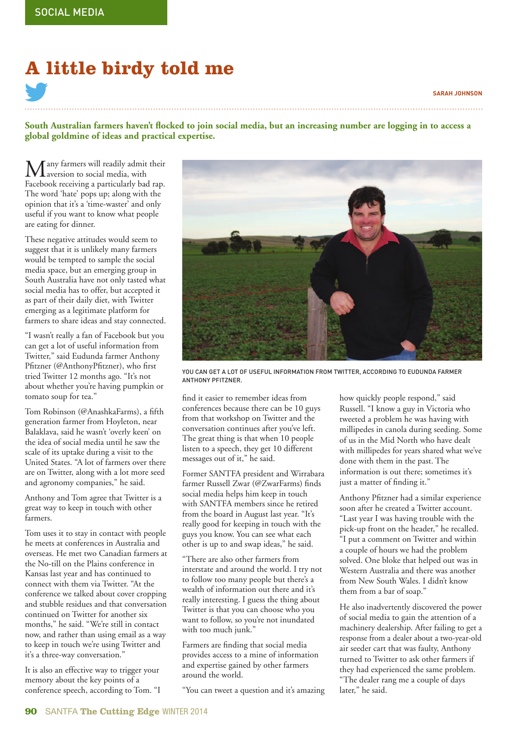## **A little birdy told me**

## **SARAH JOHNSON**

South Australian farmers haven't flocked to join social media, but an increasing number are logging in to access a **global goldmine of ideas and practical expertise.**

 $\sum_{\Gamma}$  any farmers will readily admit their Facebook receiving a particularly bad rap. The word 'hate' pops up; along with the opinion that it's a 'time-waster' and only useful if you want to know what people are eating for dinner.

These negative attitudes would seem to suggest that it is unlikely many farmers would be tempted to sample the social media space, but an emerging group in South Australia have not only tasted what social media has to offer, but accepted it as part of their daily diet, with Twitter emerging as a legitimate platform for farmers to share ideas and stay connected.

"I wasn't really a fan of Facebook but you can get a lot of useful information from Twitter," said Eudunda farmer Anthony Pfitzner (@AnthonyPfitzner), who first tried Twitter 12 months ago. "It's not about whether you're having pumpkin or tomato soup for tea."

Tom Robinson (@AnashkaFarms), a fifth generation farmer from Hoyleton, near Balaklava, said he wasn't 'overly keen' on the idea of social media until he saw the scale of its uptake during a visit to the United States. "A lot of farmers over there are on Twitter, along with a lot more seed and agronomy companies," he said.

Anthony and Tom agree that Twitter is a great way to keep in touch with other farmers.

Tom uses it to stay in contact with people he meets at conferences in Australia and overseas. He met two Canadian farmers at the No-till on the Plains conference in Kansas last year and has continued to connect with them via Twitter. "At the conference we talked about cover cropping and stubble residues and that conversation continued on Twitter for another six months," he said. "We're still in contact now, and rather than using email as a way to keep in touch we're using Twitter and it's a three-way conversation."

It is also an effective way to trigger your memory about the key points of a conference speech, according to Tom. "I



YOU CAN GET A LOT OF USEFUL INFORMATION FROM TWITTER, ACCORDING TO EUDUNDA FARMER ANTHONY PFITZNER.

find it easier to remember ideas from conferences because there can be 10 guys from that workshop on Twitter and the conversation continues after you've left. The great thing is that when 10 people listen to a speech, they get 10 different messages out of it," he said.

Former SANTFA president and Wirrabara farmer Russell Zwar (@ZwarFarms) finds social media helps him keep in touch with SANTFA members since he retired from the board in August last year. "It's really good for keeping in touch with the guys you know. You can see what each other is up to and swap ideas," he said.

"There are also other farmers from interstate and around the world. I try not to follow too many people but there's a wealth of information out there and it's really interesting. I guess the thing about Twitter is that you can choose who you want to follow, so you're not inundated with too much junk."

Farmers are finding that social media provides access to a mine of information and expertise gained by other farmers around the world.

"You can tweet a question and it's amazing

how quickly people respond," said Russell. "I know a guy in Victoria who tweeted a problem he was having with millipedes in canola during seeding. Some of us in the Mid North who have dealt with millipedes for years shared what we've done with them in the past. The information is out there; sometimes it's just a matter of finding it."

Anthony Pfitzner had a similar experience soon after he created a Twitter account. "Last year I was having trouble with the pick-up front on the header," he recalled. "I put a comment on Twitter and within a couple of hours we had the problem solved. One bloke that helped out was in Western Australia and there was another from New South Wales. I didn't know them from a bar of soap."

He also inadvertently discovered the power of social media to gain the attention of a machinery dealership. After failing to get a response from a dealer about a two-year-old air seeder cart that was faulty, Anthony turned to Twitter to ask other farmers if they had experienced the same problem. "The dealer rang me a couple of days later," he said.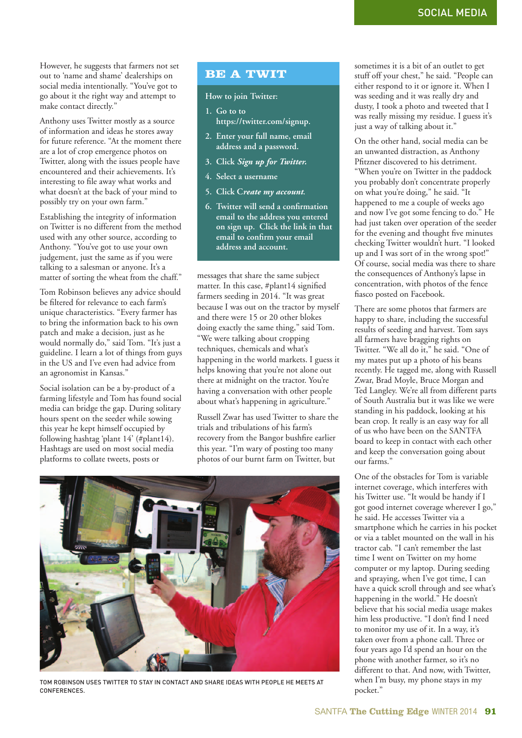However, he suggests that farmers not set out to 'name and shame' dealerships on social media intentionally. "You've got to go about it the right way and attempt to make contact directly."

Anthony uses Twitter mostly as a source of information and ideas he stores away for future reference. "At the moment there are a lot of crop emergence photos on Twitter, along with the issues people have encountered and their achievements. It's interesting to file away what works and what doesn't at the back of your mind to possibly try on your own farm."

Establishing the integrity of information on Twitter is no different from the method used with any other source, according to Anthony. "You've got to use your own judgement, just the same as if you were talking to a salesman or anyone. It's a matter of sorting the wheat from the chaff."

Tom Robinson believes any advice should be filtered for relevance to each farm's unique characteristics. "Every farmer has to bring the information back to his own patch and make a decision, just as he would normally do," said Tom. "It's just a guideline. I learn a lot of things from guys in the US and I've even had advice from an agronomist in Kansas."

Social isolation can be a by-product of a farming lifestyle and Tom has found social media can bridge the gap. During solitary hours spent on the seeder while sowing this year he kept himself occupied by following hashtag 'plant 14' (#plant14). Hashtags are used on most social media platforms to collate tweets, posts or

## **BE A TWIT**

**How to join Twitter:**

- **1. Go to to https://twitter.com/signup.**
- **2. Enter your full name, email address and a password.**
- **3. Click** *Sign up for Twitter.*
- **4. Select a username**
- **5. Click C***reate my account***.**
- **6.** Twitter will send a confirmation  **email to the address you entered on sign up. Click the link in that**  email to confirm your email  **address and account.**

messages that share the same subject matter. In this case, #plant14 signified farmers seeding in 2014. "It was great because I was out on the tractor by myself and there were 15 or 20 other blokes doing exactly the same thing," said Tom. "We were talking about cropping techniques, chemicals and what's happening in the world markets. I guess it helps knowing that you're not alone out there at midnight on the tractor. You're having a conversation with other people about what's happening in agriculture."

Russell Zwar has used Twitter to share the trials and tribulations of his farm's recovery from the Bangor bushfire earlier this year. "I'm wary of posting too many photos of our burnt farm on Twitter, but



TOM ROBINSON USES TWITTER TO STAY IN CONTACT AND SHARE IDEAS WITH PEOPLE HE MEETS AT CONFERENCES.

sometimes it is a bit of an outlet to get stuff off your chest," he said. "People can either respond to it or ignore it. When I was seeding and it was really dry and dusty, I took a photo and tweeted that I was really missing my residue. I guess it's just a way of talking about it."

On the other hand, social media can be an unwanted distraction, as Anthony Pfitzner discovered to his detriment. "When you're on Twitter in the paddock you probably don't concentrate properly on what you're doing," he said. "It happened to me a couple of weeks ago and now I've got some fencing to do." He had just taken over operation of the seeder for the evening and thought five minutes checking Twitter wouldn't hurt. "I looked up and I was sort of in the wrong spot!" Of course, social media was there to share the consequences of Anthony's lapse in concentration, with photos of the fence fiasco posted on Facebook.

There are some photos that farmers are happy to share, including the successful results of seeding and harvest. Tom says all farmers have bragging rights on Twitter. "We all do it," he said. "One of my mates put up a photo of his beans recently. He tagged me, along with Russell Zwar, Brad Moyle, Bruce Morgan and Ted Langley. We're all from different parts of South Australia but it was like we were standing in his paddock, looking at his bean crop. It really is an easy way for all of us who have been on the SANTFA board to keep in contact with each other and keep the conversation going about our farms."

One of the obstacles for Tom is variable internet coverage, which interferes with his Twitter use. "It would be handy if I got good internet coverage wherever I go," he said. He accesses Twitter via a smartphone which he carries in his pocket or via a tablet mounted on the wall in his tractor cab. "I can't remember the last time I went on Twitter on my home computer or my laptop. During seeding and spraying, when I've got time, I can have a quick scroll through and see what's happening in the world." He doesn't believe that his social media usage makes him less productive. "I don't find I need to monitor my use of it. In a way, it's taken over from a phone call. Three or four years ago I'd spend an hour on the phone with another farmer, so it's no different to that. And now, with Twitter, when I'm busy, my phone stays in my pocket."